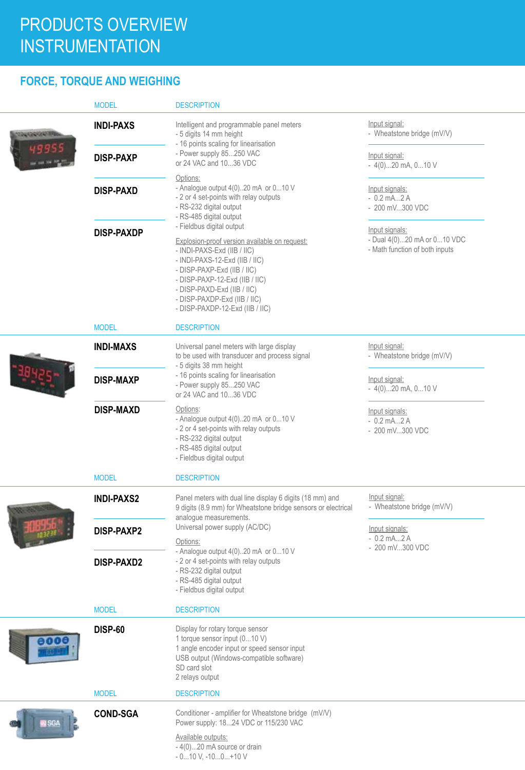### **FORCE, TORQUE AND WEIGHING**

| <b>INDI-PAXS</b>  | Intelligent and programmable panel meters<br>- 5 digits 14 mm height<br>- 16 points scaling for linearisation<br>- Power supply 85250 VAC<br>or 24 VAC and 1036 VDC                                                                                                                                            | Input signal:<br>- Wheatstone bridge (mV/V)                                     |  |
|-------------------|----------------------------------------------------------------------------------------------------------------------------------------------------------------------------------------------------------------------------------------------------------------------------------------------------------------|---------------------------------------------------------------------------------|--|
| <b>DISP-PAXP</b>  |                                                                                                                                                                                                                                                                                                                | Input signal:<br>$-4(0)20$ mA, $010$ V                                          |  |
| <b>DISP-PAXD</b>  | - Analogue output 4(0)20 mA or 010 V<br>- 2 or 4 set-points with relay outputs<br>- RS-232 digital output<br>- RS-485 digital output                                                                                                                                                                           | Input signals:<br>$-0.2$ mA $2$ A<br>- 200 mV300 VDC                            |  |
| <b>DISP-PAXDP</b> | - Fieldbus digital output<br>Explosion-proof version available on request:<br>- INDI-PAXS-Exd (IIB / IIC)<br>- INDI-PAXS-12-Exd (IIB / IIC)<br>- DISP-PAXP-Exd (IIB / IIC)<br>- DISP-PAXP-12-Exd (IIB / IIC)<br>- DISP-PAXD-Exd (IIB / IIC)<br>- DISP-PAXDP-Exd (IIB / IIC)<br>- DISP-PAXDP-12-Exd (IIB / IIC) | Input signals:<br>- Dual 4(0)20 mA or 010 VDC<br>- Math function of both inputs |  |
| <b>MODEL</b>      | <b>DESCRIPTION</b>                                                                                                                                                                                                                                                                                             |                                                                                 |  |
| <b>INDI-MAXS</b>  | Universal panel meters with large display<br>to be used with transducer and process signal<br>- 5 digits 38 mm height                                                                                                                                                                                          | Input signal:<br>- Wheatstone bridge (mV/V)                                     |  |
| <b>DISP-MAXP</b>  | - 16 points scaling for linearisation<br>- Power supply 85250 VAC<br>or 24 VAC and 1036 VDC                                                                                                                                                                                                                    | Input signal:<br>$-4(0)20$ mA, $010$ V                                          |  |
| <b>DISP-MAXD</b>  | Options:<br>- Analogue output 4(0)20 mA or 010 V<br>- 2 or 4 set-points with relay outputs<br>- RS-232 digital output<br>- RS-485 digital output<br>- Fieldbus digital output                                                                                                                                  | Input signals:<br>$-0.2$ mA $2$ A<br>- 200 mV300 VDC                            |  |
| <b>MODEL</b>      | <b>DESCRIPTION</b>                                                                                                                                                                                                                                                                                             |                                                                                 |  |
| <b>INDI-PAXS2</b> | Panel meters with dual line display 6 digits (18 mm) and<br>9 digits (8.9 mm) for Wheatstone bridge sensors or electrical                                                                                                                                                                                      | Input signal:<br>- Wheatstone bridge (mV/V)                                     |  |
| <b>DISP-PAXP2</b> | Universal power supply (AC/DC)<br>Options:<br>- Analogue output 4(0)20 mA or 010 V<br>- 2 or 4 set-points with relay outputs<br>- RS-232 digital output<br>- RS-485 digital output<br>- Fieldbus digital output                                                                                                | Input signals:<br>$-0.2$ mA $2$ A<br>- 200 mV300 VDC                            |  |
| <b>DISP-PAXD2</b> |                                                                                                                                                                                                                                                                                                                |                                                                                 |  |
| <b>MODEL</b>      | <b>DESCRIPTION</b>                                                                                                                                                                                                                                                                                             |                                                                                 |  |
| <b>DISP-60</b>    | Display for rotary torque sensor<br>1 torque sensor input (010 V)<br>1 angle encoder input or speed sensor input<br>USB output (Windows-compatible software)<br>SD card slot<br>2 relays output                                                                                                                |                                                                                 |  |
| <b>MODEL</b>      | <b>DESCRIPTION</b>                                                                                                                                                                                                                                                                                             |                                                                                 |  |
| <b>COND-SGA</b>   | Conditioner - amplifier for Wheatstone bridge (mV/V)<br>Power supply: 1824 VDC or 115/230 VAC<br>Available outputs:<br>$-4(0)20$ mA source or drain                                                                                                                                                            |                                                                                 |  |
|                   |                                                                                                                                                                                                                                                                                                                | Options:<br>analogue measurements.<br>$-010$ V, $-100+10$ V                     |  |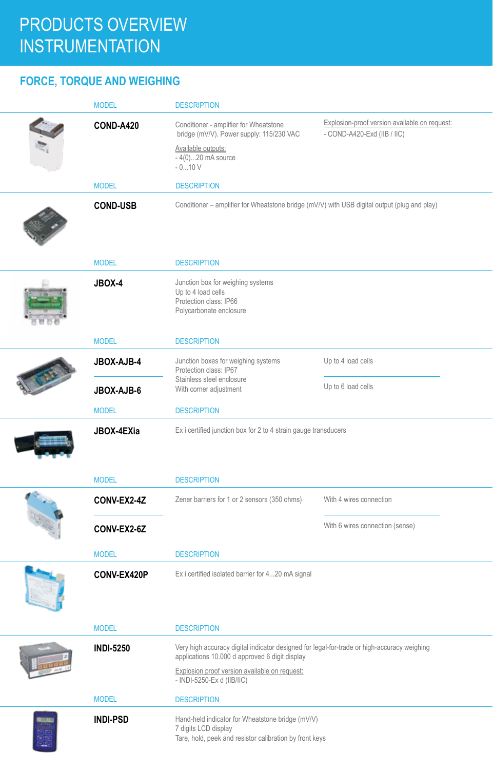### **FORCE, TORQUE AND WEIGHING**

| <b>MODEL</b>     | <b>DESCRIPTION</b>                                                                                                                            |                                                                              |
|------------------|-----------------------------------------------------------------------------------------------------------------------------------------------|------------------------------------------------------------------------------|
| <b>COND-A420</b> | Conditioner - amplifier for Wheatstone<br>bridge (mV/V). Power supply: 115/230 VAC                                                            | Explosion-proof version available on request:<br>- COND-A420-Exd (IIB / IIC) |
|                  | Available outputs:<br>$-4(0)20$ mA source<br>$-010V$                                                                                          |                                                                              |
| <b>MODEL</b>     | <b>DESCRIPTION</b>                                                                                                                            |                                                                              |
| <b>COND-USB</b>  | Conditioner - amplifier for Wheatstone bridge (mV/V) with USB digital output (plug and play)                                                  |                                                                              |
| <b>MODEL</b>     | <b>DESCRIPTION</b>                                                                                                                            |                                                                              |
| JBOX-4           | Junction box for weighing systems<br>Up to 4 load cells<br>Protection class: IP66<br>Polycarbonate enclosure                                  |                                                                              |
| <b>MODEL</b>     | <b>DESCRIPTION</b>                                                                                                                            |                                                                              |
| JBOX-AJB-4       | Junction boxes for weighing systems<br>Protection class: IP67                                                                                 | Up to 4 load cells                                                           |
| JBOX-AJB-6       | Stainless steel enclosure<br>With corner adjustment                                                                                           | Up to 6 load cells                                                           |
| <b>MODEL</b>     | <b>DESCRIPTION</b>                                                                                                                            |                                                                              |
| JBOX-4EXia       | Ex i certified junction box for 2 to 4 strain gauge transducers                                                                               |                                                                              |
| <b>MODEL</b>     | <b>DESCRIPTION</b>                                                                                                                            |                                                                              |
| CONV-EX2-4Z      | Zener barriers for 1 or 2 sensors (350 ohms)                                                                                                  | With 4 wires connection                                                      |
| CONV-EX2-6Z      |                                                                                                                                               | With 6 wires connection (sense)                                              |
| <b>MODEL</b>     | <b>DESCRIPTION</b>                                                                                                                            |                                                                              |
| CONV-EX420P      | Ex i certified isolated barrier for 420 mA signal                                                                                             |                                                                              |
| <b>MODEL</b>     | <b>DESCRIPTION</b>                                                                                                                            |                                                                              |
| <b>INDI-5250</b> | Very high accuracy digital indicator designed for legal-for-trade or high-accuracy weighing<br>applications 10.000 d approved 6 digit display |                                                                              |
|                  | Explosion proof version available on request:<br>- INDI-5250-Ex d (IIB/IIC)                                                                   |                                                                              |
| <b>MODEL</b>     | <b>DESCRIPTION</b>                                                                                                                            |                                                                              |
| <b>INDI-PSD</b>  | Hand-held indicator for Wheatstone bridge (mV/V)<br>7 digits LCD display<br>Tare, hold, peek and resistor calibration by front keys           |                                                                              |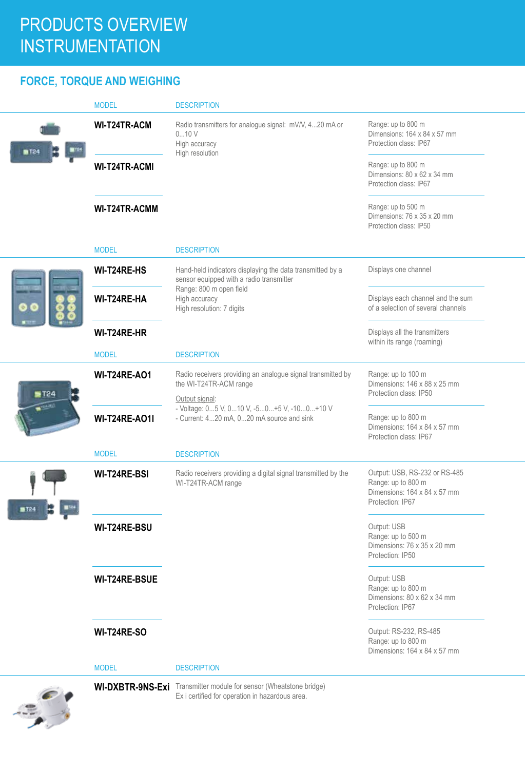### **FORCE, TORQUE AND WEIGHING**

|              | <b>MODEL</b>         | <b>DESCRIPTION</b>                                                                                                           |                                                                                                         |
|--------------|----------------------|------------------------------------------------------------------------------------------------------------------------------|---------------------------------------------------------------------------------------------------------|
| <b>m</b> T24 | <b>WI-T24TR-ACM</b>  | Radio transmitters for analogue signal: mV/V, 420 mA or<br>010V<br>High accuracy<br>High resolution                          | Range: up to 800 m<br>Dimensions: 164 x 84 x 57 mm<br>Protection class: IP67                            |
|              | WI-T24TR-ACMI        |                                                                                                                              | Range: up to 800 m<br>Dimensions: 80 x 62 x 34 mm<br>Protection class: IP67                             |
|              | <b>WI-T24TR-ACMM</b> |                                                                                                                              | Range: up to 500 m<br>Dimensions: 76 x 35 x 20 mm<br>Protection class: IP50                             |
|              | <b>MODEL</b>         | <b>DESCRIPTION</b>                                                                                                           |                                                                                                         |
|              | <b>WI-T24RE-HS</b>   | Hand-held indicators displaying the data transmitted by a<br>sensor equipped with a radio transmitter                        | Displays one channel                                                                                    |
|              | WI-T24RE-HA          | Range: 800 m open field<br>High accuracy<br>High resolution: 7 digits                                                        | Displays each channel and the sum<br>of a selection of several channels                                 |
|              | WI-T24RE-HR          |                                                                                                                              | Displays all the transmitters<br>within its range (roaming)                                             |
|              | <b>MODEL</b>         | <b>DESCRIPTION</b>                                                                                                           |                                                                                                         |
| FT24         | <b>WI-T24RE-AO1</b>  | Radio receivers providing an analogue signal transmitted by<br>the WI-T24TR-ACM range<br>Output signal:                      | Range: up to 100 m<br>Dimensions: 146 x 88 x 25 mm<br>Protection class: IP50                            |
|              | <b>WI-T24RE-AO1I</b> | - Voltage: 05 V, 010 V, -50+5 V, -100+10 V<br>- Current: 420 mA, 020 mA source and sink                                      | Range: up to 800 m<br>Dimensions: 164 x 84 x 57 mm<br>Protection class: IP67                            |
|              | <b>MODEL</b>         | <b>DESCRIPTION</b>                                                                                                           |                                                                                                         |
| T24          | WI-T24RE-BSI         | Radio receivers providing a digital signal transmitted by the<br>WI-T24TR-ACM range                                          | Output: USB, RS-232 or RS-485<br>Range: up to 800 m<br>Dimensions: 164 x 84 x 57 mm<br>Protection: IP67 |
|              | WI-T24RE-BSU         |                                                                                                                              | Output: USB<br>Range: up to 500 m<br>Dimensions: 76 x 35 x 20 mm<br>Protection: IP50                    |
|              | <b>WI-T24RE-BSUE</b> |                                                                                                                              | Output: USB<br>Range: up to 800 m<br>Dimensions: 80 x 62 x 34 mm<br>Protection: IP67                    |
|              | <b>WI-T24RE-SO</b>   |                                                                                                                              | Output: RS-232, RS-485<br>Range: up to 800 m<br>Dimensions: 164 x 84 x 57 mm                            |
|              | <b>MODEL</b>         | <b>DESCRIPTION</b>                                                                                                           |                                                                                                         |
|              |                      | <b>WI-DXBTR-9NS-Exi</b> Transmitter module for sensor (Wheatstone bridge)<br>Ex i certified for operation in hazardous area. |                                                                                                         |

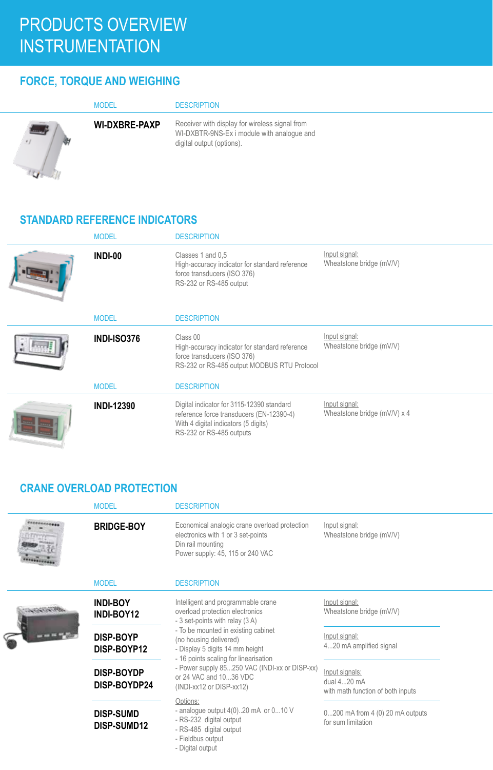### **FORCE, TORQUE AND WEIGHING**

|                   | <b>MODEL</b>         | <b>DESCRIPTION</b>                                                                                                        |
|-------------------|----------------------|---------------------------------------------------------------------------------------------------------------------------|
| <b>CONTRACTOR</b> | <b>WI-DXBRE-PAXP</b> | Receiver with display for wireless signal from<br>WI-DXBTR-9NS-Ex i module with analogue and<br>digital output (options). |

#### **STANDARD REFERENCE INDICATORS**

| <b>MODEL</b>       | <b>DESCRIPTION</b>                                                                                                                                        |                                               |
|--------------------|-----------------------------------------------------------------------------------------------------------------------------------------------------------|-----------------------------------------------|
| INDI-00            | Classes 1 and 0.5<br>High-accuracy indicator for standard reference<br>force transducers (ISO 376)<br>RS-232 or RS-485 output                             | Input signal:<br>Wheatstone bridge (mV/V)     |
| <b>MODEL</b>       | <b>DESCRIPTION</b>                                                                                                                                        |                                               |
| <b>INDI-ISO376</b> | Class 00<br>High-accuracy indicator for standard reference<br>force transducers (ISO 376)<br>RS-232 or RS-485 output MODBUS RTU Protocol                  | Input signal:<br>Wheatstone bridge (mV/V)     |
| <b>MODEL</b>       | <b>DESCRIPTION</b>                                                                                                                                        |                                               |
| <b>INDI-12390</b>  | Digital indicator for 3115-12390 standard<br>reference force transducers (EN-12390-4)<br>With 4 digital indicators (5 digits)<br>RS-232 or RS-485 outputs | Input signal:<br>Wheatstone bridge (mV/V) x 4 |

#### **CRANE OVERLOAD PROTECTION**

|                 | <b>MODEL</b>                      | <b>DESCRIPTION</b>                                                                                                                                                                                                                               |                                                                    |
|-----------------|-----------------------------------|--------------------------------------------------------------------------------------------------------------------------------------------------------------------------------------------------------------------------------------------------|--------------------------------------------------------------------|
|                 | <b>BRIDGE-BOY</b>                 | Economical analogic crane overload protection<br>electronics with 1 or 3 set-points<br>Din rail mounting<br>Power supply: 45, 115 or 240 VAC                                                                                                     | Input signal:<br>Wheatstone bridge (mV/V)                          |
|                 | <b>MODEL</b>                      | <b>DESCRIPTION</b>                                                                                                                                                                                                                               |                                                                    |
| <b>ANGELOUS</b> | <b>INDI-BOY</b><br>INDI-BOY12     | Intelligent and programmable crane<br>overload protection electronics<br>- 3 set-points with relay (3 A)                                                                                                                                         | Input signal:<br>Wheatstone bridge (mV/V)                          |
|                 | <b>DISP-BOYP</b><br>DISP-BOYP12   | - To be mounted in existing cabinet<br>(no housing delivered)<br>- Display 5 digits 14 mm height<br>- 16 points scaling for linearisation<br>- Power supply 85250 VAC (INDI-xx or DISP-xx)<br>or 24 VAC and 1036 VDC<br>(INDI-xx12 or DISP-xx12) | Input signal:<br>420 mA amplified signal                           |
|                 | <b>DISP-BOYDP</b><br>DISP-BOYDP24 |                                                                                                                                                                                                                                                  | Input signals:<br>dual 420 mA<br>with math function of both inputs |
|                 | <b>DISP-SUMD</b><br>DISP-SUMD12   | Options:<br>- analogue output $4(0)$ 20 mA or $0$ 10 V<br>- RS-232 digital output<br>- RS-485 digital output<br>- Fieldbus output<br>- Digital output                                                                                            | $0200$ mA from $4(0)$ 20 mA outputs<br>for sum limitation          |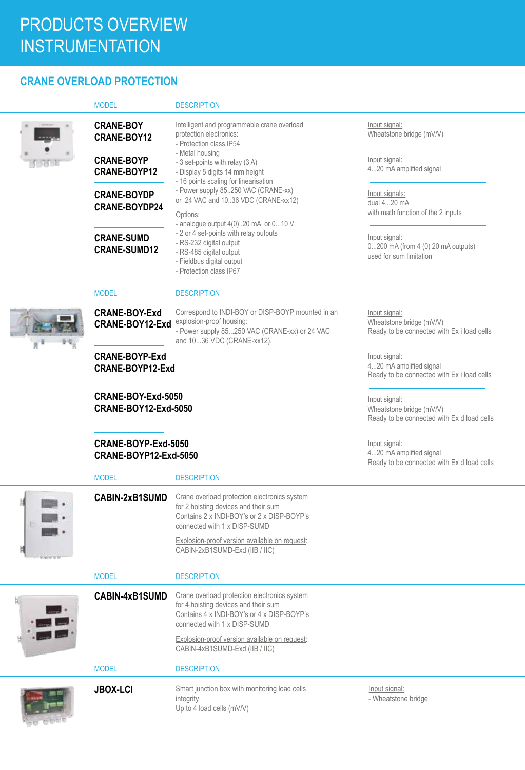### **CRANE OVERLOAD PROTECTION**

|  | <b>MODEL</b>                                      | <b>DESCRIPTION</b>                                                                                                                                                                                                                                               |                                                                                         |
|--|---------------------------------------------------|------------------------------------------------------------------------------------------------------------------------------------------------------------------------------------------------------------------------------------------------------------------|-----------------------------------------------------------------------------------------|
|  | <b>CRANE-BOY</b><br>CRANE-BOY12                   | Intelligent and programmable crane overload<br>protection electronics:<br>- Protection class IP54                                                                                                                                                                | Input signal:<br>Wheatstone bridge (mV/V)                                               |
|  | <b>CRANE-BOYP</b><br>CRANE-BOYP12                 | - Metal housing<br>- 3 set-points with relay (3 A)<br>- Display 5 digits 14 mm height<br>- 16 points scaling for linearisation<br>- Power supply 85250 VAC (CRANE-xx)<br>or 24 VAC and 1036 VDC (CRANE-xx12)<br>Options:<br>- analogue output 4(0)20 mA or 010 V | Input signal:<br>420 mA amplified signal                                                |
|  | <b>CRANE-BOYDP</b><br><b>CRANE-BOYDP24</b>        |                                                                                                                                                                                                                                                                  | Input signals:<br>dual 420 mA<br>with math function of the 2 inputs                     |
|  | <b>CRANE-SUMD</b><br><b>CRANE-SUMD12</b>          | - 2 or 4 set-points with relay outputs<br>- RS-232 digital output<br>- RS-485 digital output<br>- Fieldbus digital output<br>- Protection class IP67                                                                                                             | Input signal:<br>0200 mA (from 4 (0) 20 mA outputs)<br>used for sum limitation          |
|  | <b>MODEL</b>                                      | <b>DESCRIPTION</b>                                                                                                                                                                                                                                               |                                                                                         |
|  | <b>CRANE-BOY-Exd</b><br>CRANE-BOY12-Exd           | Correspond to INDI-BOY or DISP-BOYP mounted in an<br>explosion-proof housing:<br>- Power supply 85250 VAC (CRANE-xx) or 24 VAC<br>and 1036 VDC (CRANE-xx12).                                                                                                     | Input signal:<br>Wheatstone bridge (mV/V)<br>Ready to be connected with Ex i load cells |
|  | <b>CRANE-BOYP-Exd</b><br>CRANE-BOYP12-Exd         |                                                                                                                                                                                                                                                                  | Input signal:<br>420 mA amplified signal<br>Ready to be connected with Ex i load cells  |
|  | CRANE-BOY-Exd-5050<br><b>CRANE-BOY12-Exd-5050</b> |                                                                                                                                                                                                                                                                  | Input signal:<br>Wheatstone bridge (mV/V)<br>Ready to be connected with Ex d load cells |
|  | CRANE-BOYP-Exd-5050<br>CRANE-BOYP12-Exd-5050      |                                                                                                                                                                                                                                                                  | Input signal:<br>420 mA amplified signal<br>Ready to be connected with Ex d load cells  |
|  | <b>MODEL</b>                                      | <b>DESCRIPTION</b>                                                                                                                                                                                                                                               |                                                                                         |
|  | <b>CABIN-2xB1SUMD</b>                             | Crane overload protection electronics system<br>for 2 hoisting devices and their sum<br>Contains 2 x INDI-BOY's or 2 x DISP-BOYP's<br>connected with 1 x DISP-SUMD<br>Explosion-proof version available on request:<br>CABIN-2xB1SUMD-Exd (IIB / IIC)            |                                                                                         |
|  |                                                   |                                                                                                                                                                                                                                                                  |                                                                                         |
|  | <b>MODEL</b>                                      | <b>DESCRIPTION</b>                                                                                                                                                                                                                                               |                                                                                         |
|  | CABIN-4xB1SUMD                                    | Crane overload protection electronics system<br>for 4 hoisting devices and their sum<br>Contains 4 x INDI-BOY's or 4 x DISP-BOYP's<br>connected with 1 x DISP-SUMD                                                                                               |                                                                                         |
|  |                                                   | Explosion-proof version available on request:<br>CABIN-4xB1SUMD-Exd (IIB / IIC)                                                                                                                                                                                  |                                                                                         |
|  | <b>MODEL</b>                                      | <b>DESCRIPTION</b>                                                                                                                                                                                                                                               |                                                                                         |
|  | <b>JBOX-LCI</b>                                   | Smart junction box with monitoring load cells<br>integrity<br>Up to 4 load cells (mV/V)                                                                                                                                                                          | Input signal:<br>- Wheatstone bridge                                                    |